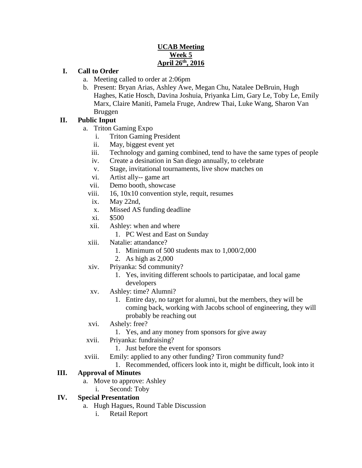## **UCAB Meeting Week 5 April 26th, 2016**

### **I. Call to Order**

- a. Meeting called to order at 2:06pm
- b. Present: Bryan Arias, Ashley Awe, Megan Chu, Natalee DeBruin, Hugh Haghes, Katie Hosch, Davina Joshuia, Priyanka Lim, Gary Le, Toby Le, Emily Marx, Claire Maniti, Pamela Fruge, Andrew Thai, Luke Wang, Sharon Van Bruggen

# **II. Public Input**

- a. Triton Gaming Expo
	- i. Triton Gaming President
	- ii. May, biggest event yet
	- iii. Technology and gaming combined, tend to have the same types of people
	- iv. Create a desination in San diego annually, to celebrate
	- v. Stage, invitational tournaments, live show matches on
	- vi. Artist ally-- game art
	- vii. Demo booth, showcase
	- viii. 16, 10x10 convention style, requit, resumes
	- ix. May 22nd,
	- x. Missed AS funding deadline
	- xi. \$500
	- xii. Ashley: when and where
		- 1. PC West and East on Sunday
	- xiii. Natalie: attandance?
		- 1. Minimum of 500 students max to 1,000/2,000
		- 2. As high as 2,000
	- xiv. Priyanka: Sd community?
		- 1. Yes, inviting different schools to participatae, and local game developers
	- xv. Ashley: time? Alumni?
		- 1. Entire day, no target for alumni, but the members, they will be coming back, working with Jacobs school of engineering, they will probably be reaching out
	- xvi. Ashely: free?
		- 1. Yes, and any money from sponsors for give away
- xvii. Priyanka: fundraising?
	- 1. Just before the event for sponsors
- xviii. Emily: applied to any other funding? Tiron community fund?
	- 1. Recommended, officers look into it, might be difficult, look into it

### **III. Approval of Minutes**

- a. Move to approve: Ashley
	- i. Second: Toby

### **IV. Special Presentation**

- a. Hugh Hagues, Round Table Discussion
	- i. Retail Report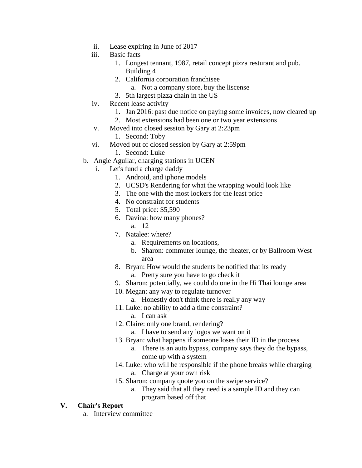- ii. Lease expiring in June of 2017
- iii. Basic facts
	- 1. Longest tennant, 1987, retail concept pizza resturant and pub. Building 4
	- 2. California corporation franchisee
		- a. Not a company store, buy the liscense
	- 3. 5th largest pizza chain in the US
- iv. Recent lease activity
	- 1. Jan 2016: past due notice on paying some invoices, now cleared up
	- 2. Most extensions had been one or two year extensions
- v. Moved into closed session by Gary at 2:23pm
	- 1. Second: Toby
- vi. Moved out of closed session by Gary at 2:59pm
	- 1. Second: Luke
- b. Angie Aguilar, charging stations in UCEN
	- i. Let's fund a charge daddy
		- 1. Android, and iphone models
		- 2. UCSD's Rendering for what the wrapping would look like
		- 3. The one with the most lockers for the least price
		- 4. No constraint for students
		- 5. Total price: \$5,590
		- 6. Davina: how many phones?
			- a. 12
		- 7. Natalee: where?
			- a. Requirements on locations,
			- b. Sharon: commuter lounge, the theater, or by Ballroom West area
		- 8. Bryan: How would the students be notified that its ready a. Pretty sure you have to go check it
		- 9. Sharon: potentially, we could do one in the Hi Thai lounge area
		- 10. Megan: any way to regulate turnover
			- a. Honestly don't think there is really any way
		- 11. Luke: no ability to add a time constraint?
			- a. I can ask
		- 12. Claire: only one brand, rendering?
			- a. I have to send any logos we want on it
		- 13. Bryan: what happens if someone loses their ID in the process
			- a. There is an auto bypass, company says they do the bypass, come up with a system
		- 14. Luke: who will be responsible if the phone breaks while charging a. Charge at your own risk
		- 15. Sharon: company quote you on the swipe service?
			- a. They said that all they need is a sample ID and they can program based off that

## **V. Chair's Report**

a. Interview committee